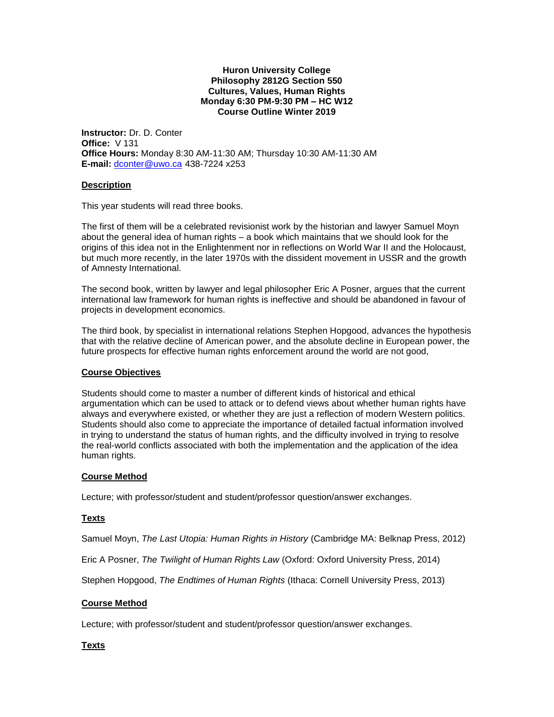#### **Huron University College Philosophy 2812G Section 550 Cultures, Values, Human Rights Monday 6:30 PM-9:30 PM – HC W12 Course Outline Winter 2019**

**Instructor:** Dr. D. Conter **Office:** V 131 **Office Hours:** Monday 8:30 AM-11:30 AM; Thursday 10:30 AM-11:30 AM **E-mail:** [dconter@uwo.ca](mailto:dconter@uwo.ca) 438-7224 x253

### **Description**

This year students will read three books.

The first of them will be a celebrated revisionist work by the historian and lawyer Samuel Moyn about the general idea of human rights – a book which maintains that we should look for the origins of this idea not in the Enlightenment nor in reflections on World War II and the Holocaust, but much more recently, in the later 1970s with the dissident movement in USSR and the growth of Amnesty International.

The second book, written by lawyer and legal philosopher Eric A Posner, argues that the current international law framework for human rights is ineffective and should be abandoned in favour of projects in development economics.

The third book, by specialist in international relations Stephen Hopgood, advances the hypothesis that with the relative decline of American power, and the absolute decline in European power, the future prospects for effective human rights enforcement around the world are not good,

#### **Course Objectives**

Students should come to master a number of different kinds of historical and ethical argumentation which can be used to attack or to defend views about whether human rights have always and everywhere existed, or whether they are just a reflection of modern Western politics. Students should also come to appreciate the importance of detailed factual information involved in trying to understand the status of human rights, and the difficulty involved in trying to resolve the real-world conflicts associated with both the implementation and the application of the idea human rights.

#### **Course Method**

Lecture; with professor/student and student/professor question/answer exchanges.

#### **Texts**

Samuel Moyn, *The Last Utopia: Human Rights in History* (Cambridge MA: Belknap Press, 2012)

Eric A Posner, *The Twilight of Human Rights Law* (Oxford: Oxford University Press, 2014)

Stephen Hopgood, *The Endtimes of Human Rights* (Ithaca: Cornell University Press, 2013)

#### **Course Method**

Lecture; with professor/student and student/professor question/answer exchanges.

## **Texts**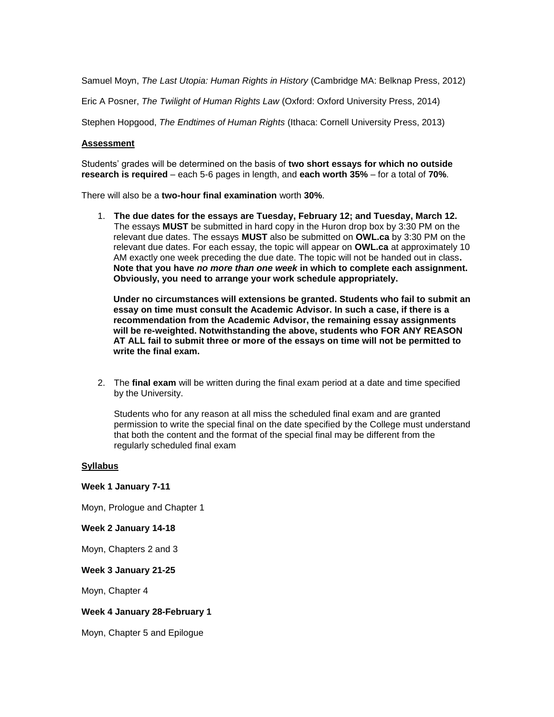Samuel Moyn, *The Last Utopia: Human Rights in History* (Cambridge MA: Belknap Press, 2012)

Eric A Posner, *The Twilight of Human Rights Law* (Oxford: Oxford University Press, 2014)

Stephen Hopgood, *The Endtimes of Human Rights* (Ithaca: Cornell University Press, 2013)

#### **Assessment**

Students' grades will be determined on the basis of **two short essays for which no outside research is required** – each 5-6 pages in length, and **each worth 35%** – for a total of **70%**.

There will also be a **two-hour final examination** worth **30%**.

1. **The due dates for the essays are Tuesday, February 12; and Tuesday, March 12.** The essays **MUST** be submitted in hard copy in the Huron drop box by 3:30 PM on the relevant due dates. The essays **MUST** also be submitted on **OWL.ca** by 3:30 PM on the relevant due dates. For each essay, the topic will appear on **OWL.ca** at approximately 10 AM exactly one week preceding the due date. The topic will not be handed out in class**. Note that you have** *no more than one week* **in which to complete each assignment. Obviously, you need to arrange your work schedule appropriately.**

**Under no circumstances will extensions be granted. Students who fail to submit an essay on time must consult the Academic Advisor. In such a case, if there is a recommendation from the Academic Advisor, the remaining essay assignments will be re-weighted. Notwithstanding the above, students who FOR ANY REASON AT ALL fail to submit three or more of the essays on time will not be permitted to write the final exam.**

2. The **final exam** will be written during the final exam period at a date and time specified by the University.

Students who for any reason at all miss the scheduled final exam and are granted permission to write the special final on the date specified by the College must understand that both the content and the format of the special final may be different from the regularly scheduled final exam

#### **Syllabus**

#### **Week 1 January 7-11**

Moyn, Prologue and Chapter 1

**Week 2 January 14-18**

Moyn, Chapters 2 and 3

#### **Week 3 January 21-25**

Moyn, Chapter 4

#### **Week 4 January 28-February 1**

Moyn, Chapter 5 and Epilogue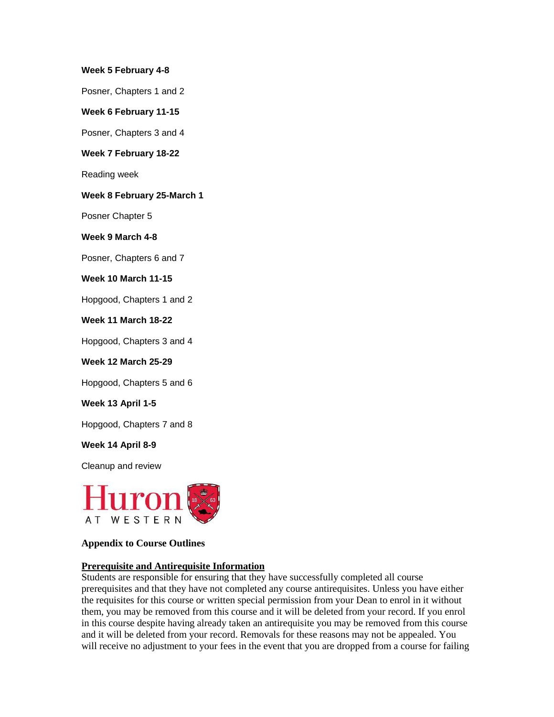### **Week 5 February 4-8**

Posner, Chapters 1 and 2

### **Week 6 February 11-15**

Posner, Chapters 3 and 4

### **Week 7 February 18-22**

Reading week

#### **Week 8 February 25-March 1**

Posner Chapter 5

#### **Week 9 March 4-8**

Posner, Chapters 6 and 7

## **Week 10 March 11-15**

Hopgood, Chapters 1 and 2

### **Week 11 March 18-22**

Hopgood, Chapters 3 and 4

### **Week 12 March 25-29**

Hopgood, Chapters 5 and 6

#### **Week 13 April 1-5**

Hopgood, Chapters 7 and 8

## **Week 14 April 8-9**

Cleanup and review



## **Appendix to Course Outlines**

## **Prerequisite and Antirequisite Information**

Students are responsible for ensuring that they have successfully completed all course prerequisites and that they have not completed any course antirequisites. Unless you have either the requisites for this course or written special permission from your Dean to enrol in it without them, you may be removed from this course and it will be deleted from your record. If you enrol in this course despite having already taken an antirequisite you may be removed from this course and it will be deleted from your record. Removals for these reasons may not be appealed. You will receive no adjustment to your fees in the event that you are dropped from a course for failing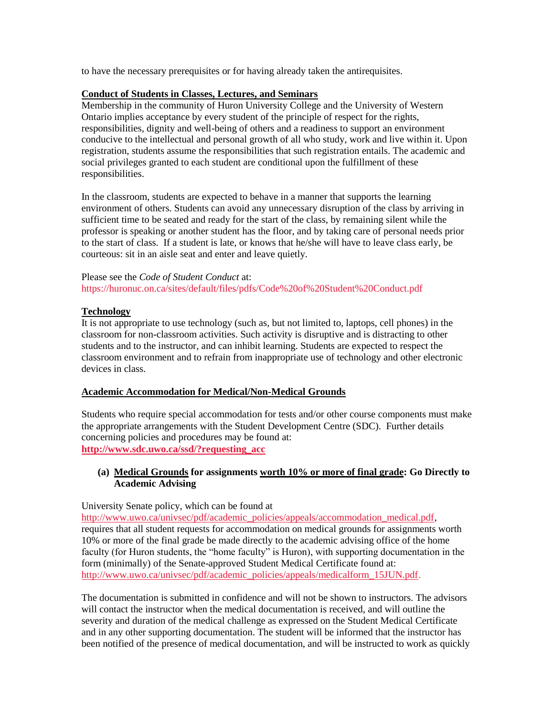to have the necessary prerequisites or for having already taken the antirequisites.

### **Conduct of Students in Classes, Lectures, and Seminars**

Membership in the community of Huron University College and the University of Western Ontario implies acceptance by every student of the principle of respect for the rights, responsibilities, dignity and well-being of others and a readiness to support an environment conducive to the intellectual and personal growth of all who study, work and live within it. Upon registration, students assume the responsibilities that such registration entails. The academic and social privileges granted to each student are conditional upon the fulfillment of these responsibilities.

In the classroom, students are expected to behave in a manner that supports the learning environment of others. Students can avoid any unnecessary disruption of the class by arriving in sufficient time to be seated and ready for the start of the class, by remaining silent while the professor is speaking or another student has the floor, and by taking care of personal needs prior to the start of class. If a student is late, or knows that he/she will have to leave class early, be courteous: sit in an aisle seat and enter and leave quietly.

Please see the *Code of Student Conduct* at: https://huronuc.on.ca/sites/default/files/pdfs/Code%20of%20Student%20Conduct.pdf

## **Technology**

It is not appropriate to use technology (such as, but not limited to, laptops, cell phones) in the classroom for non-classroom activities. Such activity is disruptive and is distracting to other students and to the instructor, and can inhibit learning. Students are expected to respect the classroom environment and to refrain from inappropriate use of technology and other electronic devices in class.

#### **Academic Accommodation for Medical/Non-Medical Grounds**

Students who require special accommodation for tests and/or other course components must make the appropriate arrangements with the Student Development Centre (SDC). Further details concerning policies and procedures may be found at: **[http://www.sdc.uwo.ca/ssd/?requesting\\_acc](http://www.sdc.uwo.ca/ssd/?requesting_acc)**

## **(a) Medical Grounds for assignments worth 10% or more of final grade: Go Directly to Academic Advising**

# University Senate policy, which can be found at

[http://www.uwo.ca/univsec/pdf/academic\\_policies/appeals/accommodation\\_medical.pdf,](http://www.uwo.ca/univsec/pdf/academic_policies/appeals/accommodation_medical.pdf) requires that all student requests for accommodation on medical grounds for assignments worth 10% or more of the final grade be made directly to the academic advising office of the home faculty (for Huron students, the "home faculty" is Huron), with supporting documentation in the form (minimally) of the Senate-approved Student Medical Certificate found at: [http://www.uwo.ca/univsec/pdf/academic\\_policies/appeals/medicalform\\_15JUN.pdf.](http://www.uwo.ca/univsec/pdf/academic_policies/appeals/medicalform_15JUN.pdf)

The documentation is submitted in confidence and will not be shown to instructors. The advisors will contact the instructor when the medical documentation is received, and will outline the severity and duration of the medical challenge as expressed on the Student Medical Certificate and in any other supporting documentation. The student will be informed that the instructor has been notified of the presence of medical documentation, and will be instructed to work as quickly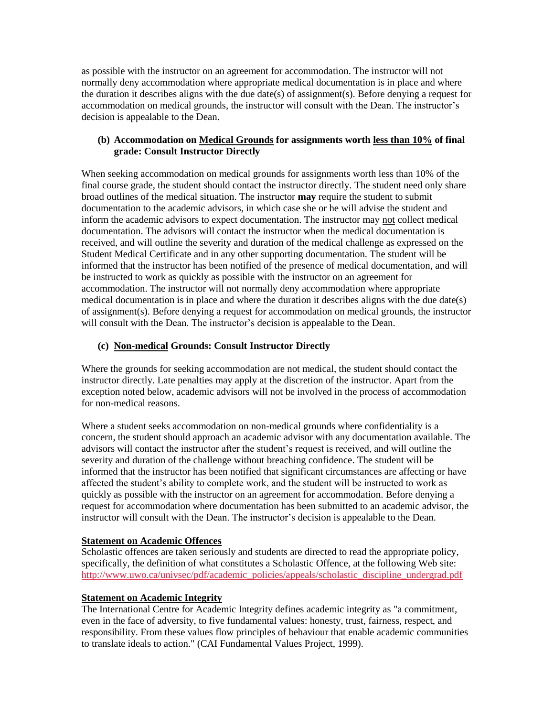as possible with the instructor on an agreement for accommodation. The instructor will not normally deny accommodation where appropriate medical documentation is in place and where the duration it describes aligns with the due date(s) of assignment(s). Before denying a request for accommodation on medical grounds, the instructor will consult with the Dean. The instructor's decision is appealable to the Dean.

## **(b) Accommodation on Medical Grounds for assignments worth less than 10% of final grade: Consult Instructor Directly**

When seeking accommodation on medical grounds for assignments worth less than 10% of the final course grade, the student should contact the instructor directly. The student need only share broad outlines of the medical situation. The instructor **may** require the student to submit documentation to the academic advisors, in which case she or he will advise the student and inform the academic advisors to expect documentation. The instructor may not collect medical documentation. The advisors will contact the instructor when the medical documentation is received, and will outline the severity and duration of the medical challenge as expressed on the Student Medical Certificate and in any other supporting documentation. The student will be informed that the instructor has been notified of the presence of medical documentation, and will be instructed to work as quickly as possible with the instructor on an agreement for accommodation. The instructor will not normally deny accommodation where appropriate medical documentation is in place and where the duration it describes aligns with the due date(s) of assignment(s). Before denying a request for accommodation on medical grounds, the instructor will consult with the Dean. The instructor's decision is appealable to the Dean.

# **(c) Non-medical Grounds: Consult Instructor Directly**

Where the grounds for seeking accommodation are not medical, the student should contact the instructor directly. Late penalties may apply at the discretion of the instructor. Apart from the exception noted below, academic advisors will not be involved in the process of accommodation for non-medical reasons.

Where a student seeks accommodation on non-medical grounds where confidentiality is a concern, the student should approach an academic advisor with any documentation available. The advisors will contact the instructor after the student's request is received, and will outline the severity and duration of the challenge without breaching confidence. The student will be informed that the instructor has been notified that significant circumstances are affecting or have affected the student's ability to complete work, and the student will be instructed to work as quickly as possible with the instructor on an agreement for accommodation. Before denying a request for accommodation where documentation has been submitted to an academic advisor, the instructor will consult with the Dean. The instructor's decision is appealable to the Dean.

# **Statement on Academic Offences**

Scholastic offences are taken seriously and students are directed to read the appropriate policy, specifically, the definition of what constitutes a Scholastic Offence, at the following Web site: [http://www.uwo.ca/univsec/pdf/academic\\_policies/appeals/scholastic\\_discipline\\_undergrad.pdf](http://www.uwo.ca/univsec/pdf/academic_policies/appeals/scholastic_discipline_undergrad.pdf)

# **Statement on Academic Integrity**

The International Centre for Academic Integrity defines academic integrity as "a commitment, even in the face of adversity, to five fundamental values: honesty, trust, fairness, respect, and responsibility. From these values flow principles of behaviour that enable academic communities to translate ideals to action." (CAI Fundamental Values Project, 1999).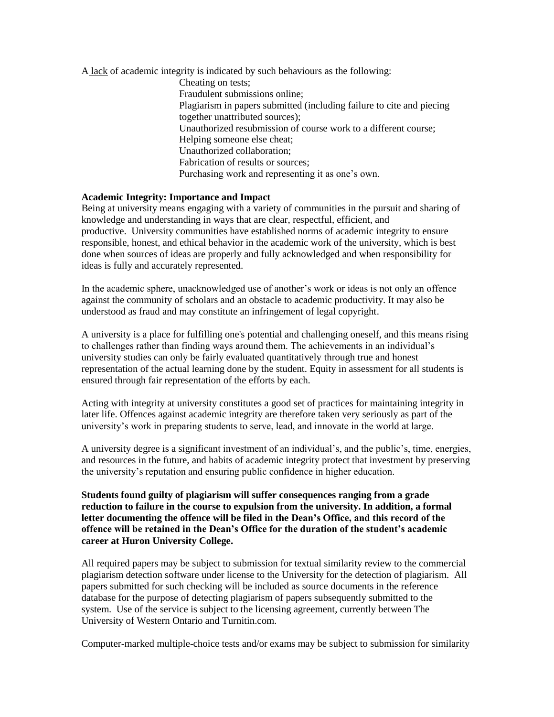A lack of academic integrity is indicated by such behaviours as the following: Cheating on tests; Fraudulent submissions online; Plagiarism in papers submitted (including failure to cite and piecing

together unattributed sources); Unauthorized resubmission of course work to a different course; Helping someone else cheat; Unauthorized collaboration; Fabrication of results or sources; Purchasing work and representing it as one's own.

## **Academic Integrity: Importance and Impact**

Being at university means engaging with a variety of communities in the pursuit and sharing of knowledge and understanding in ways that are clear, respectful, efficient, and productive. University communities have established norms of academic integrity to ensure responsible, honest, and ethical behavior in the academic work of the university, which is best done when sources of ideas are properly and fully acknowledged and when responsibility for ideas is fully and accurately represented.

In the academic sphere, unacknowledged use of another's work or ideas is not only an offence against the community of scholars and an obstacle to academic productivity. It may also be understood as fraud and may constitute an infringement of legal copyright.

A university is a place for fulfilling one's potential and challenging oneself, and this means rising to challenges rather than finding ways around them. The achievements in an individual's university studies can only be fairly evaluated quantitatively through true and honest representation of the actual learning done by the student. Equity in assessment for all students is ensured through fair representation of the efforts by each.

Acting with integrity at university constitutes a good set of practices for maintaining integrity in later life. Offences against academic integrity are therefore taken very seriously as part of the university's work in preparing students to serve, lead, and innovate in the world at large.

A university degree is a significant investment of an individual's, and the public's, time, energies, and resources in the future, and habits of academic integrity protect that investment by preserving the university's reputation and ensuring public confidence in higher education.

**Students found guilty of plagiarism will suffer consequences ranging from a grade reduction to failure in the course to expulsion from the university. In addition, a formal letter documenting the offence will be filed in the Dean's Office, and this record of the offence will be retained in the Dean's Office for the duration of the student's academic career at Huron University College.**

All required papers may be subject to submission for textual similarity review to the commercial plagiarism detection software under license to the University for the detection of plagiarism. All papers submitted for such checking will be included as source documents in the reference database for the purpose of detecting plagiarism of papers subsequently submitted to the system. Use of the service is subject to the licensing agreement, currently between The University of Western Ontario and Turnitin.com.

Computer-marked multiple-choice tests and/or exams may be subject to submission for similarity